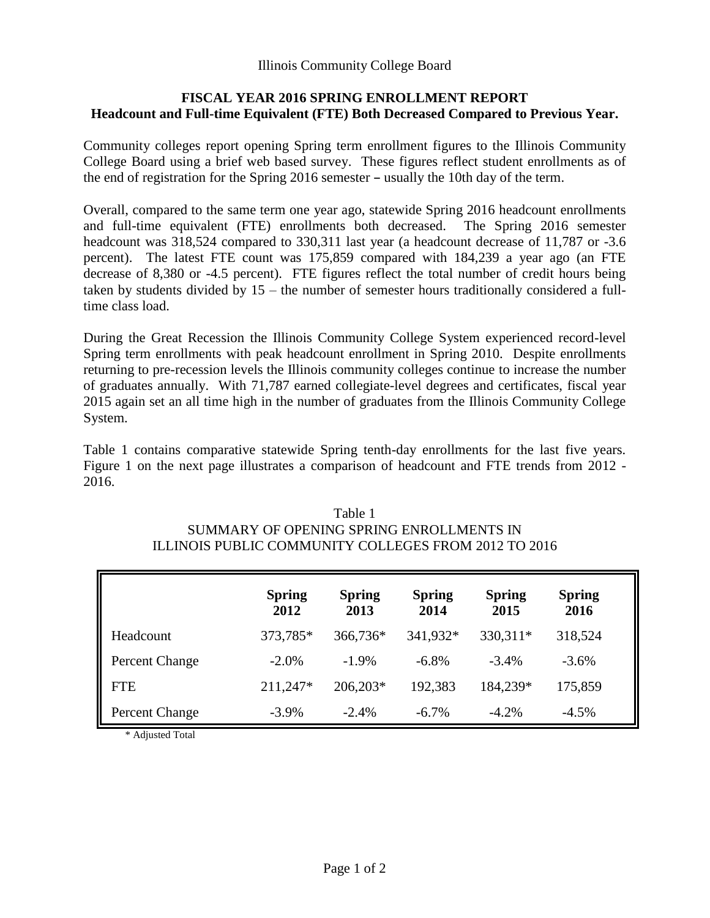# **FISCAL YEAR 2016 SPRING ENROLLMENT REPORT Headcount and Full-time Equivalent (FTE) Both Decreased Compared to Previous Year.**

Community colleges report opening Spring term enrollment figures to the Illinois Community College Board using a brief web based survey. These figures reflect student enrollments as of the end of registration for the Spring  $2016$  semester  $-$  usually the 10th day of the term.

Overall, compared to the same term one year ago, statewide Spring 2016 headcount enrollments and full-time equivalent (FTE) enrollments both decreased. The Spring 2016 semester headcount was 318,524 compared to 330,311 last year (a headcount decrease of 11,787 or -3.6 percent). The latest FTE count was 175,859 compared with 184,239 a year ago (an FTE decrease of 8,380 or -4.5 percent). FTE figures reflect the total number of credit hours being taken by students divided by 15 – the number of semester hours traditionally considered a fulltime class load.

During the Great Recession the Illinois Community College System experienced record-level Spring term enrollments with peak headcount enrollment in Spring 2010. Despite enrollments returning to pre-recession levels the Illinois community colleges continue to increase the number of graduates annually. With 71,787 earned collegiate-level degrees and certificates, fiscal year 2015 again set an all time high in the number of graduates from the Illinois Community College System.

Table 1 contains comparative statewide Spring tenth-day enrollments for the last five years. Figure 1 on the next page illustrates a comparison of headcount and FTE trends from 2012 - 2016.

| Table T                                              |
|------------------------------------------------------|
| SUMMARY OF OPENING SPRING ENROLL MENTS IN            |
| ILLINOIS PUBLIC COMMUNITY COLLEGES FROM 2012 TO 2016 |

 $T<sub>1</sub>$  1 1 1 1

|                | <b>Spring</b><br>2012 | <b>Spring</b><br>2013 | <b>Spring</b><br>2014 | <b>Spring</b><br>2015 | <b>Spring</b><br>2016 |
|----------------|-----------------------|-----------------------|-----------------------|-----------------------|-----------------------|
| Headcount      | 373,785*              | 366,736*              | 341,932*              | 330,311*              | 318,524               |
| Percent Change | $-2.0\%$              | $-1.9\%$              | $-6.8\%$              | $-3.4\%$              | $-3.6\%$              |
| <b>FTE</b>     | 211,247*              | 206,203*              | 192,383               | 184,239*              | 175,859               |
| Percent Change | $-3.9\%$              | $-2.4%$               | $-6.7\%$              | $-4.2%$               | $-4.5\%$              |

\* Adjusted Total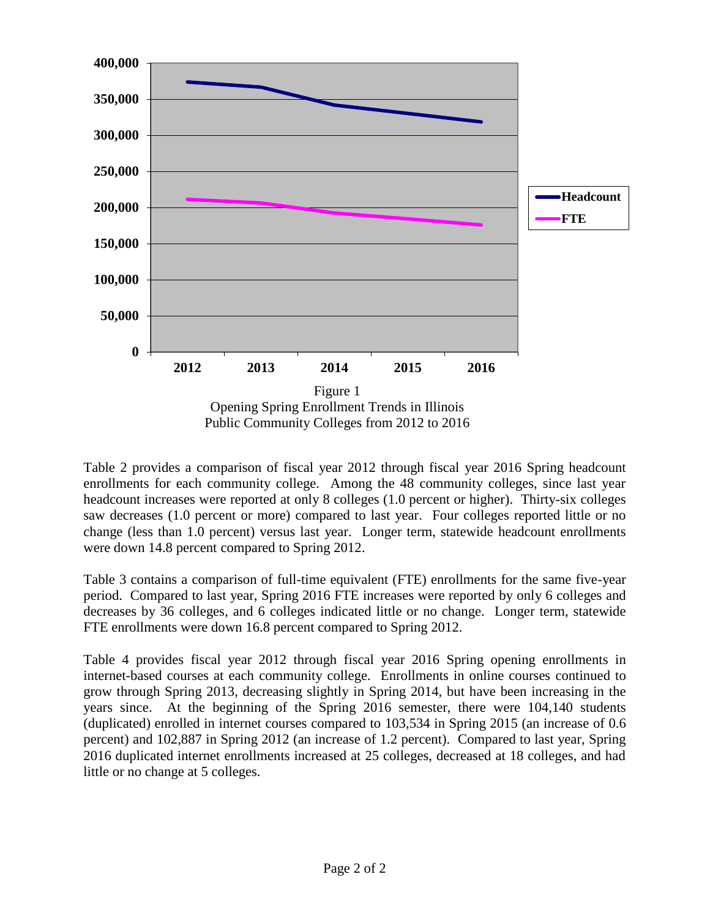

Table 2 provides a comparison of fiscal year 2012 through fiscal year 2016 Spring headcount enrollments for each community college. Among the 48 community colleges, since last year headcount increases were reported at only 8 colleges (1.0 percent or higher). Thirty-six colleges saw decreases (1.0 percent or more) compared to last year. Four colleges reported little or no change (less than 1.0 percent) versus last year. Longer term, statewide headcount enrollments were down 14.8 percent compared to Spring 2012.

Table 3 contains a comparison of full-time equivalent (FTE) enrollments for the same five-year period. Compared to last year, Spring 2016 FTE increases were reported by only 6 colleges and decreases by 36 colleges, and 6 colleges indicated little or no change. Longer term, statewide FTE enrollments were down 16.8 percent compared to Spring 2012.

Table 4 provides fiscal year 2012 through fiscal year 2016 Spring opening enrollments in internet-based courses at each community college. Enrollments in online courses continued to grow through Spring 2013, decreasing slightly in Spring 2014, but have been increasing in the years since. At the beginning of the Spring 2016 semester, there were 104,140 students (duplicated) enrolled in internet courses compared to 103,534 in Spring 2015 (an increase of 0.6 percent) and 102,887 in Spring 2012 (an increase of 1.2 percent). Compared to last year, Spring 2016 duplicated internet enrollments increased at 25 colleges, decreased at 18 colleges, and had little or no change at 5 colleges.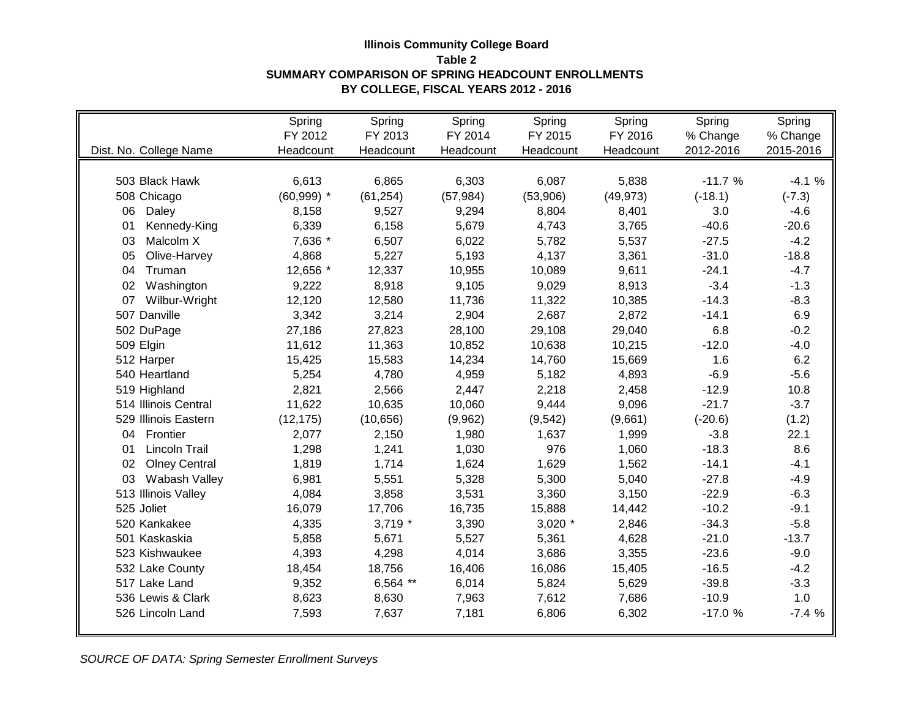## **Illinois Community College Board Table 2 SUMMARY COMPARISON OF SPRING HEADCOUNT ENROLLMENTS BY COLLEGE, FISCAL YEARS 2012 - 2016**

|                            | Spring       | Spring    | Spring    | Spring    | Spring    | Spring    | Spring    |
|----------------------------|--------------|-----------|-----------|-----------|-----------|-----------|-----------|
|                            | FY 2012      | FY 2013   | FY 2014   | FY 2015   | FY 2016   | % Change  | % Change  |
| Dist. No. College Name     | Headcount    | Headcount | Headcount | Headcount | Headcount | 2012-2016 | 2015-2016 |
|                            |              |           |           |           |           |           |           |
| 503 Black Hawk             | 6,613        | 6,865     | 6,303     | 6,087     | 5,838     | $-11.7%$  | $-4.1%$   |
| 508 Chicago                | $(60,999)$ * | (61, 254) | (57, 984) | (53,906)  | (49, 973) | $(-18.1)$ | $(-7.3)$  |
| 06<br>Daley                | 8,158        | 9,527     | 9,294     | 8,804     | 8,401     | 3.0       | $-4.6$    |
| Kennedy-King<br>01         | 6,339        | 6,158     | 5,679     | 4,743     | 3,765     | $-40.6$   | $-20.6$   |
| 03<br>Malcolm X            | 7,636 *      | 6,507     | 6,022     | 5,782     | 5,537     | $-27.5$   | $-4.2$    |
| Olive-Harvey<br>05         | 4,868        | 5,227     | 5,193     | 4,137     | 3,361     | $-31.0$   | $-18.8$   |
| 04<br>Truman               | 12,656 *     | 12,337    | 10,955    | 10,089    | 9,611     | $-24.1$   | $-4.7$    |
| Washington<br>02           | 9,222        | 8,918     | 9,105     | 9,029     | 8,913     | $-3.4$    | $-1.3$    |
| Wilbur-Wright<br>07        | 12,120       | 12,580    | 11,736    | 11,322    | 10,385    | $-14.3$   | $-8.3$    |
| 507 Danville               | 3,342        | 3,214     | 2,904     | 2,687     | 2,872     | $-14.1$   | 6.9       |
| 502 DuPage                 | 27,186       | 27,823    | 28,100    | 29,108    | 29,040    | 6.8       | $-0.2$    |
| 509 Elgin                  | 11,612       | 11,363    | 10,852    | 10,638    | 10,215    | $-12.0$   | $-4.0$    |
| 512 Harper                 | 15,425       | 15,583    | 14,234    | 14,760    | 15,669    | 1.6       | 6.2       |
| 540 Heartland              | 5,254        | 4,780     | 4,959     | 5,182     | 4,893     | $-6.9$    | $-5.6$    |
| 519 Highland               | 2,821        | 2,566     | 2,447     | 2,218     | 2,458     | $-12.9$   | 10.8      |
| 514 Illinois Central       | 11,622       | 10,635    | 10,060    | 9,444     | 9,096     | $-21.7$   | $-3.7$    |
| 529 Illinois Eastern       | (12, 175)    | (10, 656) | (9,962)   | (9,542)   | (9,661)   | $(-20.6)$ | (1.2)     |
| Frontier<br>04             | 2,077        | 2,150     | 1,980     | 1,637     | 1,999     | $-3.8$    | 22.1      |
| <b>Lincoln Trail</b><br>01 | 1,298        | 1,241     | 1,030     | 976       | 1,060     | $-18.3$   | 8.6       |
| 02<br><b>Olney Central</b> | 1,819        | 1,714     | 1,624     | 1,629     | 1,562     | $-14.1$   | $-4.1$    |
| Wabash Valley<br>03        | 6,981        | 5,551     | 5,328     | 5,300     | 5,040     | $-27.8$   | $-4.9$    |
| 513 Illinois Valley        | 4,084        | 3,858     | 3,531     | 3,360     | 3,150     | $-22.9$   | $-6.3$    |
| 525 Joliet                 | 16,079       | 17,706    | 16,735    | 15,888    | 14,442    | $-10.2$   | $-9.1$    |
| 520 Kankakee               | 4,335        | $3,719$ * | 3,390     | $3,020$ * | 2,846     | $-34.3$   | $-5.8$    |
| 501 Kaskaskia              | 5,858        | 5,671     | 5,527     | 5,361     | 4,628     | $-21.0$   | $-13.7$   |
| 523 Kishwaukee             | 4,393        | 4,298     | 4,014     | 3,686     | 3,355     | $-23.6$   | $-9.0$    |
| 532 Lake County            | 18,454       | 18,756    | 16,406    | 16,086    | 15,405    | $-16.5$   | $-4.2$    |
| 517 Lake Land              | 9,352        | 6,564 **  | 6,014     | 5,824     | 5,629     | $-39.8$   | $-3.3$    |
| 536 Lewis & Clark          | 8,623        | 8,630     | 7,963     | 7,612     | 7,686     | $-10.9$   | 1.0       |
| 526 Lincoln Land           | 7,593        | 7,637     | 7,181     | 6,806     | 6,302     | $-17.0%$  | $-7.4%$   |
|                            |              |           |           |           |           |           |           |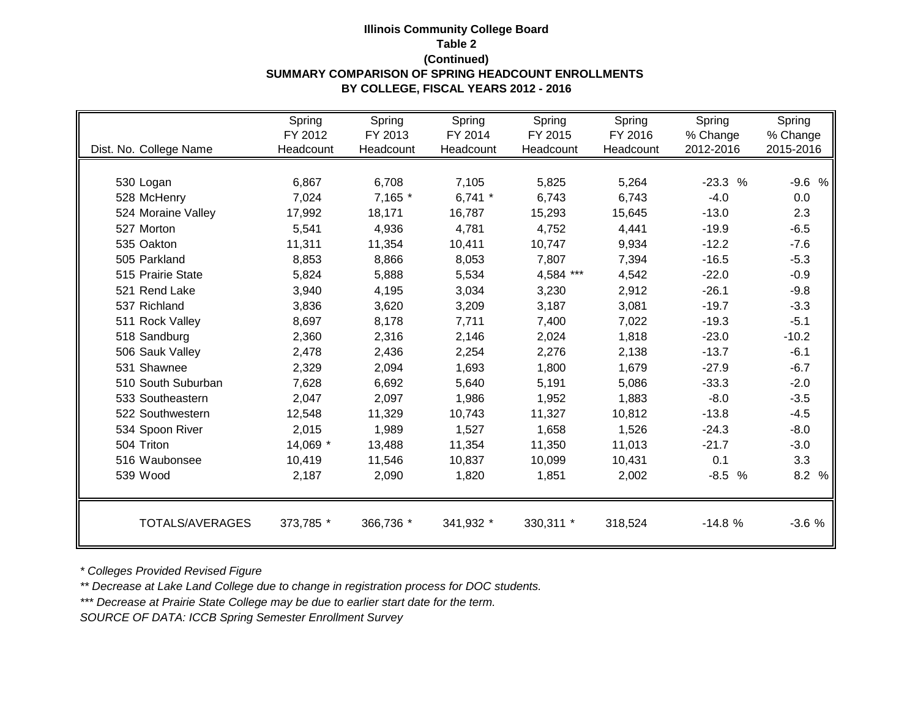## **Illinois Community College Board Table 2 (Continued) SUMMARY COMPARISON OF SPRING HEADCOUNT ENROLLMENTS BY COLLEGE, FISCAL YEARS 2012 - 2016**

|                        | Spring    | Spring    | Spring    | Spring    | Spring    | Spring                | Spring    |
|------------------------|-----------|-----------|-----------|-----------|-----------|-----------------------|-----------|
|                        | FY 2012   | FY 2013   | FY 2014   | FY 2015   | FY 2016   | % Change<br>2012-2016 | % Change  |
| Dist. No. College Name | Headcount | Headcount | Headcount | Headcount | Headcount |                       | 2015-2016 |
|                        |           |           |           |           |           |                       |           |
| 530 Logan              | 6,867     | 6,708     | 7,105     | 5,825     | 5,264     | $-23.3%$              | $-9.6%$   |
| 528 McHenry            | 7,024     | 7,165 *   | 6,741 $*$ | 6,743     | 6,743     | $-4.0$                | 0.0       |
| 524 Moraine Valley     | 17,992    | 18,171    | 16,787    | 15,293    | 15,645    | $-13.0$               | 2.3       |
| 527 Morton             | 5,541     | 4,936     | 4,781     | 4,752     | 4,441     | $-19.9$               | $-6.5$    |
| 535 Oakton             | 11,311    | 11,354    | 10,411    | 10,747    | 9,934     | $-12.2$               | $-7.6$    |
| 505 Parkland           | 8,853     | 8,866     | 8,053     | 7,807     | 7,394     | $-16.5$               | $-5.3$    |
| 515 Prairie State      | 5,824     | 5,888     | 5,534     | 4,584 *** | 4,542     | $-22.0$               | $-0.9$    |
| 521 Rend Lake          | 3,940     | 4,195     | 3,034     | 3,230     | 2,912     | $-26.1$               | $-9.8$    |
| 537 Richland           | 3,836     | 3,620     | 3,209     | 3,187     | 3,081     | $-19.7$               | $-3.3$    |
| 511 Rock Valley        | 8,697     | 8,178     | 7,711     | 7,400     | 7,022     | $-19.3$               | $-5.1$    |
| 518 Sandburg           | 2,360     | 2,316     | 2,146     | 2,024     | 1,818     | $-23.0$               | $-10.2$   |
| 506 Sauk Valley        | 2,478     | 2,436     | 2,254     | 2,276     | 2,138     | $-13.7$               | $-6.1$    |
| 531 Shawnee            | 2,329     | 2,094     | 1,693     | 1,800     | 1,679     | $-27.9$               | $-6.7$    |
| 510 South Suburban     | 7,628     | 6,692     | 5,640     | 5,191     | 5,086     | $-33.3$               | $-2.0$    |
| 533 Southeastern       | 2,047     | 2,097     | 1,986     | 1,952     | 1,883     | $-8.0$                | $-3.5$    |
| 522 Southwestern       | 12,548    | 11,329    | 10,743    | 11,327    | 10,812    | $-13.8$               | $-4.5$    |
| 534 Spoon River        | 2,015     | 1,989     | 1,527     | 1,658     | 1,526     | $-24.3$               | $-8.0$    |
| 504 Triton             | 14,069 *  | 13,488    | 11,354    | 11,350    | 11,013    | $-21.7$               | $-3.0$    |
| 516 Waubonsee          | 10,419    | 11,546    | 10,837    | 10,099    | 10,431    | 0.1                   | 3.3       |
| 539 Wood               | 2,187     | 2,090     | 1,820     | 1,851     | 2,002     | $-8.5%$               | 8.2 %     |
| TOTALS/AVERAGES        |           |           |           |           |           | $-14.8%$              |           |
|                        | 373,785 * | 366,736 * | 341,932 * | 330,311 * | 318,524   |                       | $-3.6%$   |

*\* Colleges Provided Revised Figure*

*\*\* Decrease at Lake Land College due to change in registration process for DOC students.*

*\*\*\* Decrease at Prairie State College may be due to earlier start date for the term.*

*SOURCE OF DATA: ICCB Spring Semester Enrollment Survey*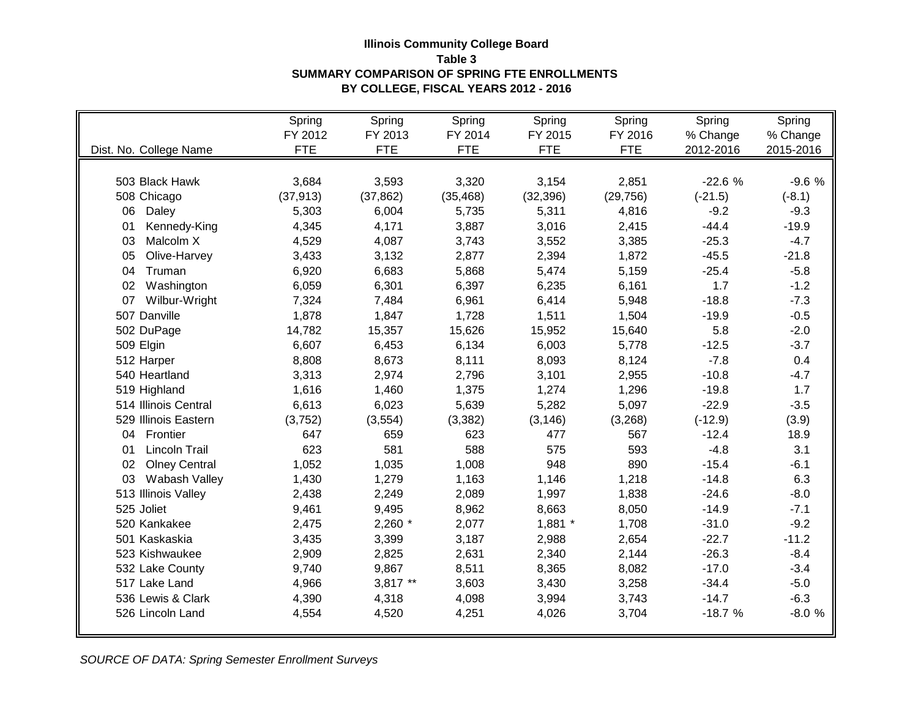## **Illinois Community College Board Table 3 SUMMARY COMPARISON OF SPRING FTE ENROLLMENTS BY COLLEGE, FISCAL YEARS 2012 - 2016**

|                            | Spring     | Spring     | Spring     | Spring     | Spring     | Spring    | Spring    |
|----------------------------|------------|------------|------------|------------|------------|-----------|-----------|
|                            | FY 2012    | FY 2013    | FY 2014    | FY 2015    | FY 2016    | % Change  | % Change  |
| Dist. No. College Name     | <b>FTE</b> | <b>FTE</b> | <b>FTE</b> | <b>FTE</b> | <b>FTE</b> | 2012-2016 | 2015-2016 |
|                            |            |            |            |            |            |           |           |
| 503 Black Hawk             | 3,684      | 3,593      | 3,320      | 3,154      | 2,851      | $-22.6%$  | $-9.6%$   |
| 508 Chicago                | (37, 913)  | (37, 862)  | (35, 468)  | (32, 396)  | (29, 756)  | $(-21.5)$ | $(-8.1)$  |
| 06<br>Daley                | 5,303      | 6,004      | 5,735      | 5,311      | 4,816      | $-9.2$    | $-9.3$    |
| Kennedy-King<br>01         | 4,345      | 4,171      | 3,887      | 3,016      | 2,415      | $-44.4$   | $-19.9$   |
| Malcolm X<br>03            | 4,529      | 4,087      | 3,743      | 3,552      | 3,385      | $-25.3$   | $-4.7$    |
| 05<br>Olive-Harvey         | 3,433      | 3,132      | 2,877      | 2,394      | 1,872      | $-45.5$   | $-21.8$   |
| Truman<br>04               | 6,920      | 6,683      | 5,868      | 5,474      | 5,159      | $-25.4$   | $-5.8$    |
| 02<br>Washington           | 6,059      | 6,301      | 6,397      | 6,235      | 6,161      | 1.7       | $-1.2$    |
| 07<br>Wilbur-Wright        | 7,324      | 7,484      | 6,961      | 6,414      | 5,948      | $-18.8$   | $-7.3$    |
| 507 Danville               | 1,878      | 1,847      | 1,728      | 1,511      | 1,504      | $-19.9$   | $-0.5$    |
| 502 DuPage                 | 14,782     | 15,357     | 15,626     | 15,952     | 15,640     | 5.8       | $-2.0$    |
| 509 Elgin                  | 6,607      | 6,453      | 6,134      | 6,003      | 5,778      | $-12.5$   | $-3.7$    |
| 512 Harper                 | 8,808      | 8,673      | 8,111      | 8,093      | 8,124      | $-7.8$    | 0.4       |
| 540 Heartland              | 3,313      | 2,974      | 2,796      | 3,101      | 2,955      | $-10.8$   | $-4.7$    |
| 519 Highland               | 1,616      | 1,460      | 1,375      | 1,274      | 1,296      | $-19.8$   | 1.7       |
| 514 Illinois Central       | 6,613      | 6,023      | 5,639      | 5,282      | 5,097      | $-22.9$   | $-3.5$    |
| 529 Illinois Eastern       | (3,752)    | (3, 554)   | (3, 382)   | (3, 146)   | (3,268)    | $(-12.9)$ | (3.9)     |
| 04 Frontier                | 647        | 659        | 623        | 477        | 567        | $-12.4$   | 18.9      |
| <b>Lincoln Trail</b><br>01 | 623        | 581        | 588        | 575        | 593        | $-4.8$    | 3.1       |
| <b>Olney Central</b><br>02 | 1,052      | 1,035      | 1,008      | 948        | 890        | $-15.4$   | $-6.1$    |
| Wabash Valley<br>03        | 1,430      | 1,279      | 1,163      | 1,146      | 1,218      | $-14.8$   | 6.3       |
| 513 Illinois Valley        | 2,438      | 2,249      | 2,089      | 1,997      | 1,838      | $-24.6$   | $-8.0$    |
| 525 Joliet                 | 9,461      | 9,495      | 8,962      | 8,663      | 8,050      | $-14.9$   | $-7.1$    |
| 520 Kankakee               | 2,475      | $2,260$ *  | 2,077      | $1,881$ *  | 1,708      | $-31.0$   | $-9.2$    |
| 501 Kaskaskia              | 3,435      | 3,399      | 3,187      | 2,988      | 2,654      | $-22.7$   | $-11.2$   |
| 523 Kishwaukee             | 2,909      | 2,825      | 2,631      | 2,340      | 2,144      | $-26.3$   | $-8.4$    |
| 532 Lake County            | 9,740      | 9,867      | 8,511      | 8,365      | 8,082      | $-17.0$   | $-3.4$    |
| 517 Lake Land              | 4,966      | $3,817$ ** | 3,603      | 3,430      | 3,258      | $-34.4$   | $-5.0$    |
| 536 Lewis & Clark          | 4,390      | 4,318      | 4,098      | 3,994      | 3,743      | $-14.7$   | $-6.3$    |
| 526 Lincoln Land           | 4,554      | 4,520      | 4,251      | 4,026      | 3,704      | $-18.7%$  | $-8.0%$   |
|                            |            |            |            |            |            |           |           |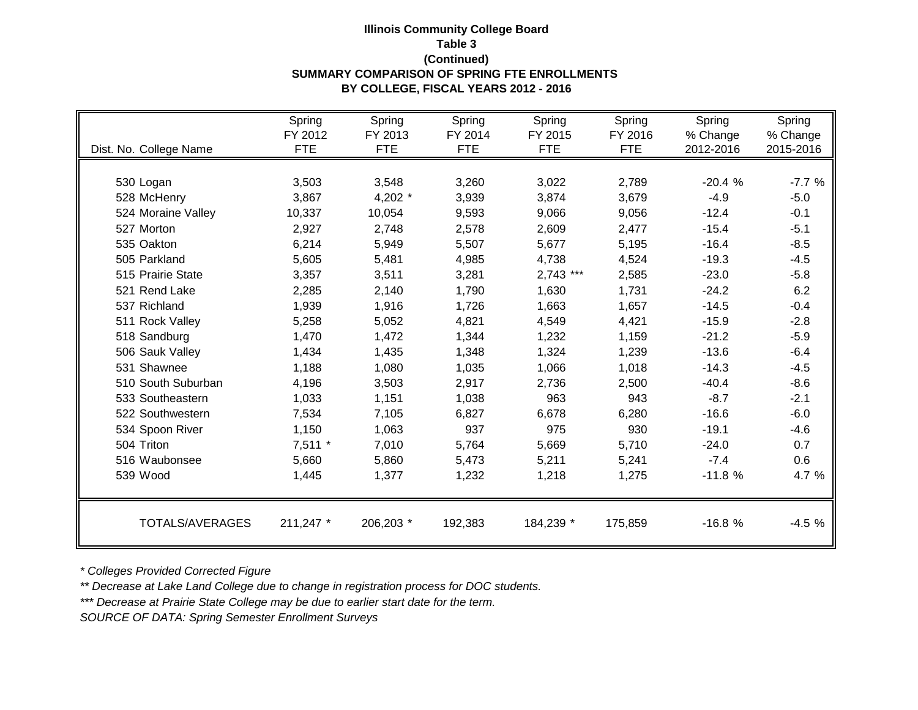## **Illinois Community College Board Table 3 (Continued) SUMMARY COMPARISON OF SPRING FTE ENROLLMENTS BY COLLEGE, FISCAL YEARS 2012 - 2016**

|                        | Spring<br>FY 2012 | Spring<br>FY 2013 | Spring<br>FY 2014 | Spring<br>FY 2015 | Spring<br>FY 2016 | Spring<br>% Change | Spring<br>% Change |
|------------------------|-------------------|-------------------|-------------------|-------------------|-------------------|--------------------|--------------------|
| Dist. No. College Name | <b>FTE</b>        | <b>FTE</b>        | <b>FTE</b>        | <b>FTE</b>        | <b>FTE</b>        | 2012-2016          | 2015-2016          |
|                        |                   |                   |                   |                   |                   |                    |                    |
| 530 Logan              | 3,503             | 3,548             | 3,260             | 3,022             | 2,789             | $-20.4%$           | $-7.7%$            |
| 528 McHenry            | 3,867             | 4,202 $*$         | 3,939             | 3,874             | 3,679             | $-4.9$             | $-5.0$             |
| 524 Moraine Valley     | 10,337            | 10,054            | 9,593             | 9,066             | 9,056             | $-12.4$            | $-0.1$             |
| 527 Morton             | 2,927             | 2,748             | 2,578             | 2,609             | 2,477             | $-15.4$            | $-5.1$             |
| 535 Oakton             | 6,214             | 5,949             | 5,507             | 5,677             | 5,195             | $-16.4$            | $-8.5$             |
| 505 Parkland           | 5,605             | 5,481             | 4,985             | 4,738             | 4,524             | $-19.3$            | $-4.5$             |
| 515 Prairie State      | 3,357             | 3,511             | 3,281             | $2,743$ ***       | 2,585             | $-23.0$            | $-5.8$             |
| 521 Rend Lake          | 2,285             | 2,140             | 1,790             | 1,630             | 1,731             | $-24.2$            | 6.2                |
| 537 Richland           | 1,939             | 1,916             | 1,726             | 1,663             | 1,657             | $-14.5$            | $-0.4$             |
| 511 Rock Valley        | 5,258             | 5,052             | 4,821             | 4,549             | 4,421             | $-15.9$            | $-2.8$             |
| 518 Sandburg           | 1,470             | 1,472             | 1,344             | 1,232             | 1,159             | $-21.2$            | $-5.9$             |
| 506 Sauk Valley        | 1,434             | 1,435             | 1,348             | 1,324             | 1,239             | $-13.6$            | $-6.4$             |
| 531 Shawnee            | 1,188             | 1,080             | 1,035             | 1,066             | 1,018             | $-14.3$            | $-4.5$             |
| 510 South Suburban     | 4,196             | 3,503             | 2,917             | 2,736             | 2,500             | $-40.4$            | $-8.6$             |
| 533 Southeastern       | 1,033             | 1,151             | 1,038             | 963               | 943               | $-8.7$             | $-2.1$             |
| 522 Southwestern       | 7,534             | 7,105             | 6,827             | 6,678             | 6,280             | $-16.6$            | $-6.0$             |
| 534 Spoon River        | 1,150             | 1,063             | 937               | 975               | 930               | $-19.1$            | $-4.6$             |
| 504 Triton             | $7,511$ *         | 7,010             | 5,764             | 5,669             | 5,710             | $-24.0$            | 0.7                |
| 516 Waubonsee          | 5,660             | 5,860             | 5,473             | 5,211             | 5,241             | $-7.4$             | 0.6                |
| 539 Wood               | 1,445             | 1,377             | 1,232             | 1,218             | 1,275             | $-11.8%$           | 4.7 %              |
| TOTALS/AVERAGES        | 211,247 *         | 206,203 *         | 192,383           | 184,239 *         | 175,859           | $-16.8%$           | $-4.5%$            |

*\* Colleges Provided Corrected Figure*

*\*\* Decrease at Lake Land College due to change in registration process for DOC students.*

*\*\*\* Decrease at Prairie State College may be due to earlier start date for the term.*

*SOURCE OF DATA: Spring Semester Enrollment Surveys*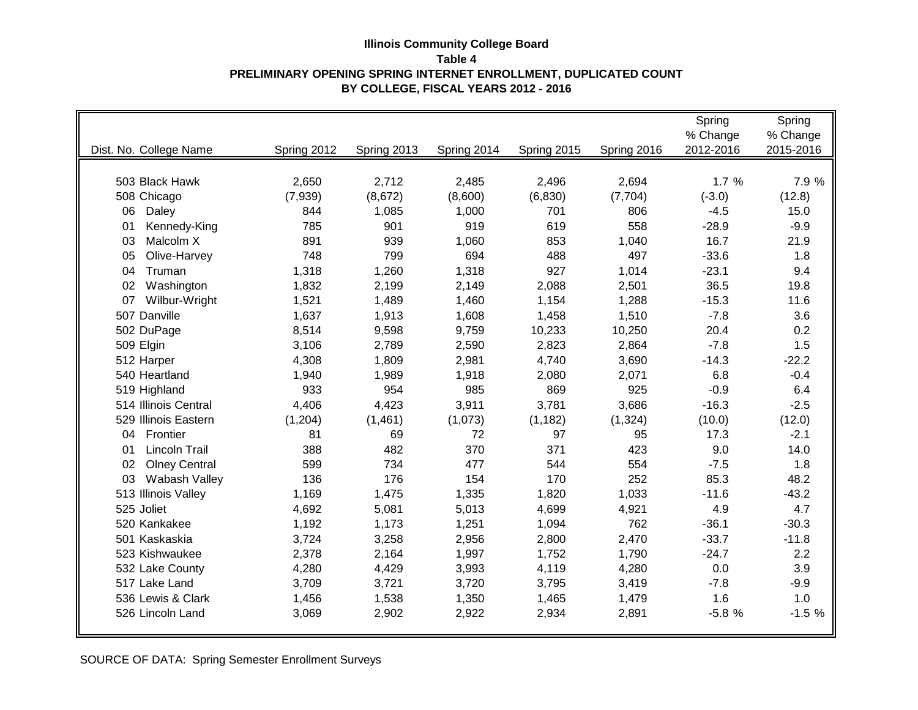### **Illinois Community College Board Table 4 PRELIMINARY OPENING SPRING INTERNET ENROLLMENT, DUPLICATED COUNT BY COLLEGE, FISCAL YEARS 2012 - 2016**

|                            |             |             |             |             |             | Spring    | Spring    |
|----------------------------|-------------|-------------|-------------|-------------|-------------|-----------|-----------|
|                            |             |             |             |             |             | % Change  | % Change  |
| Dist. No. College Name     | Spring 2012 | Spring 2013 | Spring 2014 | Spring 2015 | Spring 2016 | 2012-2016 | 2015-2016 |
|                            |             |             |             |             |             |           |           |
| 503 Black Hawk             | 2,650       | 2,712       | 2,485       | 2,496       | 2,694       | 1.7%      | 7.9 %     |
| 508 Chicago                | (7,939)     | (8,672)     | (8,600)     | (6,830)     | (7, 704)    | $(-3.0)$  | (12.8)    |
| 06<br>Daley                | 844         | 1,085       | 1,000       | 701         | 806         | $-4.5$    | 15.0      |
| Kennedy-King<br>01         | 785         | 901         | 919         | 619         | 558         | $-28.9$   | $-9.9$    |
| Malcolm X<br>03            | 891         | 939         | 1,060       | 853         | 1,040       | 16.7      | 21.9      |
| 05<br>Olive-Harvey         | 748         | 799         | 694         | 488         | 497         | $-33.6$   | 1.8       |
| Truman<br>04               | 1,318       | 1,260       | 1,318       | 927         | 1,014       | $-23.1$   | 9.4       |
| 02<br>Washington           | 1,832       | 2,199       | 2,149       | 2,088       | 2,501       | 36.5      | 19.8      |
| 07<br>Wilbur-Wright        | 1,521       | 1,489       | 1,460       | 1,154       | 1,288       | $-15.3$   | 11.6      |
| 507 Danville               | 1,637       | 1,913       | 1,608       | 1,458       | 1,510       | $-7.8$    | 3.6       |
| 502 DuPage                 | 8,514       | 9,598       | 9,759       | 10,233      | 10,250      | 20.4      | 0.2       |
| 509 Elgin                  | 3,106       | 2,789       | 2,590       | 2,823       | 2,864       | $-7.8$    | 1.5       |
| 512 Harper                 | 4,308       | 1,809       | 2,981       | 4,740       | 3,690       | $-14.3$   | $-22.2$   |
| 540 Heartland              | 1,940       | 1,989       | 1,918       | 2,080       | 2,071       | 6.8       | $-0.4$    |
| 519 Highland               | 933         | 954         | 985         | 869         | 925         | $-0.9$    | 6.4       |
| 514 Illinois Central       | 4,406       | 4,423       | 3,911       | 3,781       | 3,686       | $-16.3$   | $-2.5$    |
| 529 Illinois Eastern       | (1,204)     | (1,461)     | (1,073)     | (1, 182)    | (1, 324)    | (10.0)    | (12.0)    |
| 04<br>Frontier             | 81          | 69          | 72          | 97          | 95          | 17.3      | $-2.1$    |
| <b>Lincoln Trail</b><br>01 | 388         | 482         | 370         | 371         | 423         | 9.0       | 14.0      |
| <b>Olney Central</b><br>02 | 599         | 734         | 477         | 544         | 554         | $-7.5$    | 1.8       |
| 03<br>Wabash Valley        | 136         | 176         | 154         | 170         | 252         | 85.3      | 48.2      |
| 513 Illinois Valley        | 1,169       | 1,475       | 1,335       | 1,820       | 1,033       | $-11.6$   | $-43.2$   |
| 525 Joliet                 | 4,692       | 5,081       | 5,013       | 4,699       | 4,921       | 4.9       | 4.7       |
| 520 Kankakee               | 1,192       | 1,173       | 1,251       | 1,094       | 762         | $-36.1$   | $-30.3$   |
| 501 Kaskaskia              | 3,724       | 3,258       | 2,956       | 2,800       | 2,470       | $-33.7$   | $-11.8$   |
| 523 Kishwaukee             | 2,378       | 2,164       | 1,997       | 1,752       | 1,790       | $-24.7$   | 2.2       |
| 532 Lake County            | 4,280       | 4,429       | 3,993       | 4,119       | 4,280       | 0.0       | 3.9       |
| 517 Lake Land              | 3,709       | 3,721       | 3,720       | 3,795       | 3,419       | $-7.8$    | $-9.9$    |
| 536 Lewis & Clark          | 1,456       | 1,538       | 1,350       | 1,465       | 1,479       | 1.6       | 1.0       |
| 526 Lincoln Land           | 3,069       | 2,902       | 2,922       | 2,934       | 2,891       | $-5.8%$   | $-1.5%$   |
|                            |             |             |             |             |             |           |           |